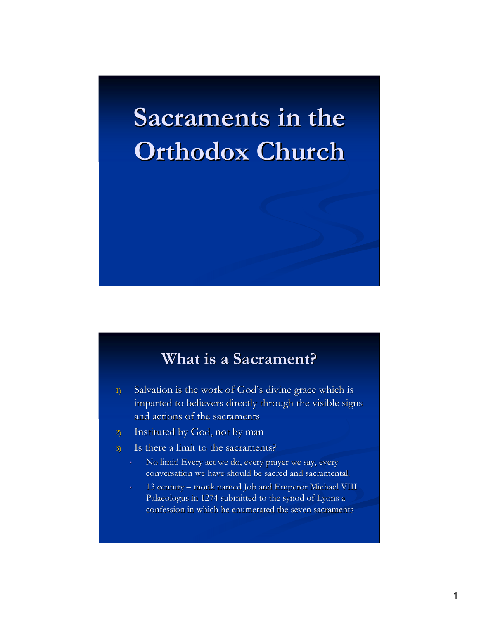# **Sacraments in the Orthodox Church**

#### **What is a Sacrament?**

- 1) Salvation is the work of God's divine grace which is imparted to believers directly through the visible signs and actions of the sacraments
- 2) Instituted by God, not by man
- 3) Is there a limit to the sacraments?
	- No limit! Every act we do, every prayer we say, every conversation we have should be sacred and sacramental.
	- 13 century monk named Job and Emperor Michael VIII Palaeologus in 1274 submitted to the synod of Lyons a confession in which he enumerated the seven sacraments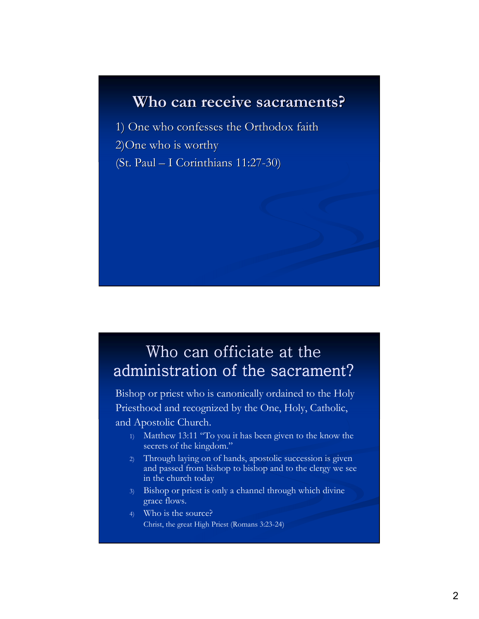# **Who can receive sacraments?**

1) One who confesses the Orthodox faith 2)One who is worthy (St. Paul – I Corinthians 11:27-30)

#### Who can officiate at the administration of the sacrament?

Bishop or priest who is canonically ordained to the Holy Priesthood and recognized by the One, Holy, Catholic, and Apostolic Church.

- 1) Matthew 13:11 "To you it has been given to the know the secrets of the kingdom."
- 2) Through laying on of hands, apostolic succession is given and passed from bishop to bishop and to the clergy we see in the church today
- 3) Bishop or priest is only a channel through which divine grace flows.
- 4) Who is the source? Christ, the great High Priest (Romans 3:23-24)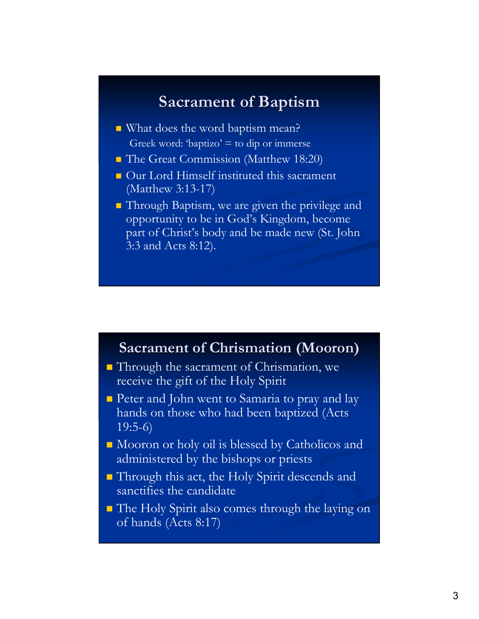#### **Sacrament of Baptism**

- What does the word baptism mean? Greek word: 'baptizo'  $=$  to dip or immerse
- **The Great Commission (Matthew 18:20)**
- **Our Lord Himself instituted this sacrament** (Matthew 3:13-17)
- **Through Baptism, we are given the privilege and** opportunity to be in God's Kingdom, become part of Christ's body and be made new (St. John 3:3 and Acts 8:12).

#### **Sacrament of Chrismation (Mooron)**

- Through the sacrament of Chrismation, we receive the gift of the Holy Spirit
- **Peter and John went to Samaria to pray and lay** hands on those who had been baptized (Acts  $19:5-6$
- Mooron or holy oil is blessed by Catholicos and administered by the bishops or priests
- Through this act, the Holy Spirit descends and sanctifies the candidate
- The Holy Spirit also comes through the laying on of hands (Acts 8:17)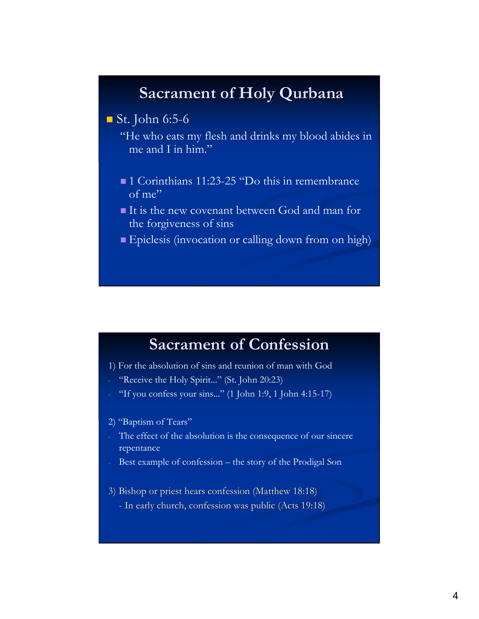# **Sacrament of Holy Qurbana**

 $\blacksquare$  St. John 6:5-6

"He who eats my flesh and drinks my blood abides in me and I in him."

- ■1 Corinthians 11:23-25 "Do this in remembrance of me"
- It is the new covenant between God and man for the forgiveness of sins
- Epiclesis (invocation or calling down from on high)

# **Sacrament of Confession**

- 1) For the absolution of sins and reunion of man with God
- "Receive the Holy Spirit..." (St. John 20:23)
- "If you confess your sins..." (1 John 1:9, 1 John 4:15-17)

#### 2) "Baptism of Tears"

- The effect of the absolution is the consequence of our sincere repentance
- Best example of confession the story of the Prodigal Son
- 3) Bishop or priest hears confession (Matthew 18:18) - In early church, confession was public (Acts 19:18)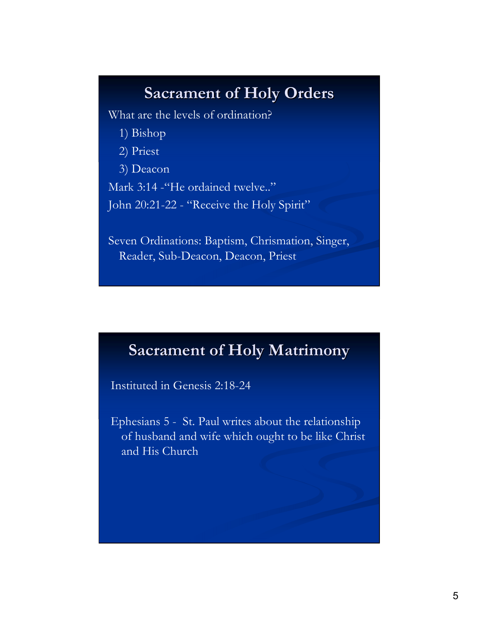# **Sacrament of Holy Orders**

What are the levels of ordination?

- 1) Bishop
- 2) Priest
- 3) Deacon

Mark 3:14 - "He ordained twelve.."

John 20:21-22 - "Receive the Holy Spirit"

Seven Ordinations: Baptism, Chrismation, Singer, Reader, Sub-Deacon, Deacon, Priest

#### **Sacrament of Holy Matrimony**

Instituted in Genesis 2:18-24

Ephesians 5 - St. Paul writes about the relationship of husband and wife which ought to be like Christ and His Church